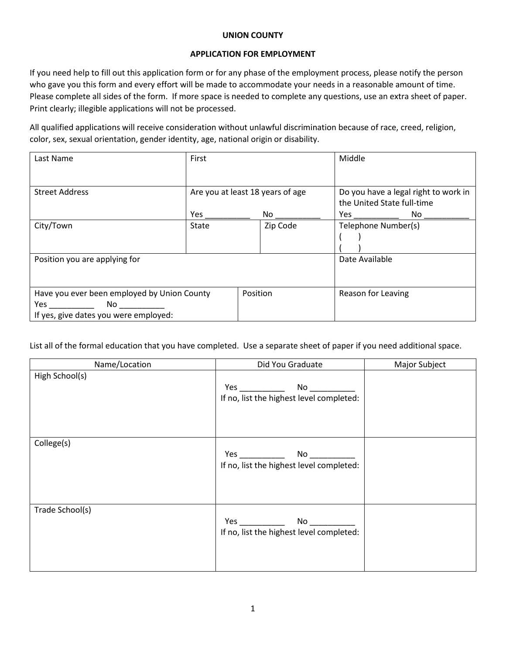## **UNION COUNTY**

## **APPLICATION FOR EMPLOYMENT**

If you need help to fill out this application form or for any phase of the employment process, please notify the person who gave you this form and every effort will be made to accommodate your needs in a reasonable amount of time. Please complete all sides of the form. If more space is needed to complete any questions, use an extra sheet of paper. Print clearly; illegible applications will not be processed.

All qualified applications will receive consideration without unlawful discrimination because of race, creed, religion, color, sex, sexual orientation, gender identity, age, national origin or disability.

| Last Name                                   | First                            |          | Middle                                                                                                                                                                                                                                    |  |
|---------------------------------------------|----------------------------------|----------|-------------------------------------------------------------------------------------------------------------------------------------------------------------------------------------------------------------------------------------------|--|
| <b>Street Address</b>                       | Are you at least 18 years of age |          | Do you have a legal right to work in<br>the United State full-time                                                                                                                                                                        |  |
|                                             | Yes                              | No       | No<br><b>Yes</b> and the set of the set of the set of the set of the set of the set of the set of the set of the set of the set of the set of the set of the set of the set of the set of the set of the set of the set of the set of the |  |
| City/Town                                   | <b>State</b>                     | Zip Code | Telephone Number(s)                                                                                                                                                                                                                       |  |
| Position you are applying for               |                                  |          | Date Available                                                                                                                                                                                                                            |  |
| Have you ever been employed by Union County |                                  | Position | Reason for Leaving                                                                                                                                                                                                                        |  |
| No                                          |                                  |          |                                                                                                                                                                                                                                           |  |
| If yes, give dates you were employed:       |                                  |          |                                                                                                                                                                                                                                           |  |

List all of the formal education that you have completed. Use a separate sheet of paper if you need additional space.

| Name/Location   | Did You Graduate                                                                                                                                                                                                                    | Major Subject |
|-----------------|-------------------------------------------------------------------------------------------------------------------------------------------------------------------------------------------------------------------------------------|---------------|
| High School(s)  |                                                                                                                                                                                                                                     |               |
|                 |                                                                                                                                                                                                                                     |               |
|                 | If no, list the highest level completed:                                                                                                                                                                                            |               |
|                 |                                                                                                                                                                                                                                     |               |
|                 |                                                                                                                                                                                                                                     |               |
|                 |                                                                                                                                                                                                                                     |               |
| College(s)      |                                                                                                                                                                                                                                     |               |
|                 |                                                                                                                                                                                                                                     |               |
|                 | If no, list the highest level completed:                                                                                                                                                                                            |               |
|                 |                                                                                                                                                                                                                                     |               |
|                 |                                                                                                                                                                                                                                     |               |
|                 |                                                                                                                                                                                                                                     |               |
| Trade School(s) |                                                                                                                                                                                                                                     |               |
|                 | <b>Yes</b> and the set of the set of the set of the set of the set of the set of the set of the set of the set of the set of the set of the set of the set of the set of the set of the set of the set of the set of the set of the |               |
|                 | If no, list the highest level completed:                                                                                                                                                                                            |               |
|                 |                                                                                                                                                                                                                                     |               |
|                 |                                                                                                                                                                                                                                     |               |
|                 |                                                                                                                                                                                                                                     |               |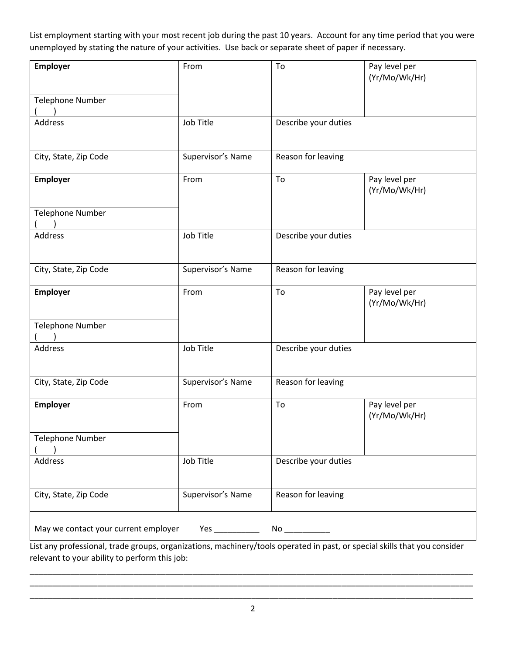List employment starting with your most recent job during the past 10 years. Account for any time period that you were unemployed by stating the nature of your activities. Use back or separate sheet of paper if necessary.

| Employer<br><b>Telephone Number</b>        | From              | To                   | Pay level per<br>(Yr/Mo/Wk/Hr) |  |  |  |
|--------------------------------------------|-------------------|----------------------|--------------------------------|--|--|--|
|                                            |                   |                      |                                |  |  |  |
| Address                                    | Job Title         | Describe your duties |                                |  |  |  |
| City, State, Zip Code                      | Supervisor's Name | Reason for leaving   |                                |  |  |  |
| Employer                                   | From              | To                   | Pay level per<br>(Yr/Mo/Wk/Hr) |  |  |  |
| <b>Telephone Number</b>                    |                   |                      |                                |  |  |  |
| <b>Address</b>                             | Job Title         | Describe your duties |                                |  |  |  |
| City, State, Zip Code                      | Supervisor's Name | Reason for leaving   |                                |  |  |  |
| Employer                                   | From              | To                   | Pay level per<br>(Yr/Mo/Wk/Hr) |  |  |  |
| Telephone Number                           |                   |                      |                                |  |  |  |
| Address                                    | Job Title         | Describe your duties |                                |  |  |  |
| City, State, Zip Code                      | Supervisor's Name | Reason for leaving   |                                |  |  |  |
| Employer                                   | From              | To                   | Pay level per<br>(Yr/Mo/Wk/Hr) |  |  |  |
| <b>Telephone Number</b>                    |                   |                      |                                |  |  |  |
| Address                                    | Job Title         | Describe your duties |                                |  |  |  |
| City, State, Zip Code                      | Supervisor's Name | Reason for leaving   |                                |  |  |  |
| May we contact your current employer<br>No |                   |                      |                                |  |  |  |

List any professional, trade groups, organizations, machinery/tools operated in past, or special skills that you consider relevant to your ability to perform this job:

\_\_\_\_\_\_\_\_\_\_\_\_\_\_\_\_\_\_\_\_\_\_\_\_\_\_\_\_\_\_\_\_\_\_\_\_\_\_\_\_\_\_\_\_\_\_\_\_\_\_\_\_\_\_\_\_\_\_\_\_\_\_\_\_\_\_\_\_\_\_\_\_\_\_\_\_\_\_\_\_\_\_\_\_\_\_\_\_\_\_\_\_\_\_\_\_\_\_ \_\_\_\_\_\_\_\_\_\_\_\_\_\_\_\_\_\_\_\_\_\_\_\_\_\_\_\_\_\_\_\_\_\_\_\_\_\_\_\_\_\_\_\_\_\_\_\_\_\_\_\_\_\_\_\_\_\_\_\_\_\_\_\_\_\_\_\_\_\_\_\_\_\_\_\_\_\_\_\_\_\_\_\_\_\_\_\_\_\_\_\_\_\_\_\_\_\_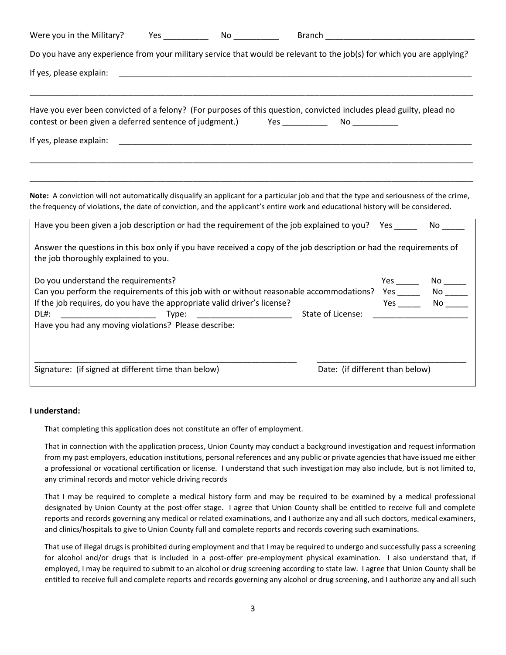| Were you in the Military?                                                                                                                                                                                                                                                                                                                                                                                                                                                                                                                  |                                 |                                                                                                                       |                         |
|--------------------------------------------------------------------------------------------------------------------------------------------------------------------------------------------------------------------------------------------------------------------------------------------------------------------------------------------------------------------------------------------------------------------------------------------------------------------------------------------------------------------------------------------|---------------------------------|-----------------------------------------------------------------------------------------------------------------------|-------------------------|
| Do you have any experience from your military service that would be relevant to the job(s) for which you are applying?                                                                                                                                                                                                                                                                                                                                                                                                                     |                                 |                                                                                                                       |                         |
| If yes, please explain:                                                                                                                                                                                                                                                                                                                                                                                                                                                                                                                    |                                 | <u> 1989 - Johann Harry Harry Harry Harry Harry Harry Harry Harry Harry Harry Harry Harry Harry Harry Harry Harry</u> |                         |
| Have you ever been convicted of a felony? (For purposes of this question, convicted includes plead guilty, plead no                                                                                                                                                                                                                                                                                                                                                                                                                        |                                 |                                                                                                                       |                         |
| If yes, please explain:                                                                                                                                                                                                                                                                                                                                                                                                                                                                                                                    |                                 |                                                                                                                       |                         |
| Note: A conviction will not automatically disqualify an applicant for a particular job and that the type and seriousness of the crime,<br>the frequency of violations, the date of conviction, and the applicant's entire work and educational history will be considered.<br>Have you been given a job description or had the requirement of the job explained to you? Yes<br>Answer the questions in this box only if you have received a copy of the job description or had the requirements of<br>the job thoroughly explained to you. |                                 |                                                                                                                       | No l                    |
| Do you understand the requirements?<br>Can you perform the requirements of this job with or without reasonable accommodations?<br>If the job requires, do you have the appropriate valid driver's license?<br>DL#:<br>Have you had any moving violations? Please describe:                                                                                                                                                                                                                                                                 | Type: _________________________ | State of License:                                                                                                     | Yes ________ No _______ |
| Signature: (if signed at different time than below)                                                                                                                                                                                                                                                                                                                                                                                                                                                                                        |                                 | Date: (if different than below)                                                                                       |                         |

## **I understand:**

That completing this application does not constitute an offer of employment.

That in connection with the application process, Union County may conduct a background investigation and request information from my past employers, education institutions, personal references and any public or private agencies that have issued me either a professional or vocational certification or license. I understand that such investigation may also include, but is not limited to, any criminal records and motor vehicle driving records

That I may be required to complete a medical history form and may be required to be examined by a medical professional designated by Union County at the post-offer stage. I agree that Union County shall be entitled to receive full and complete reports and records governing any medical or related examinations, and I authorize any and all such doctors, medical examiners, and clinics/hospitals to give to Union County full and complete reports and records covering such examinations.

That use of illegal drugs is prohibited during employment and that I may be required to undergo and successfully pass a screening for alcohol and/or drugs that is included in a post-offer pre-employment physical examination. I also understand that, if employed, I may be required to submit to an alcohol or drug screening according to state law. I agree that Union County shall be entitled to receive full and complete reports and records governing any alcohol or drug screening, and I authorize any and all such